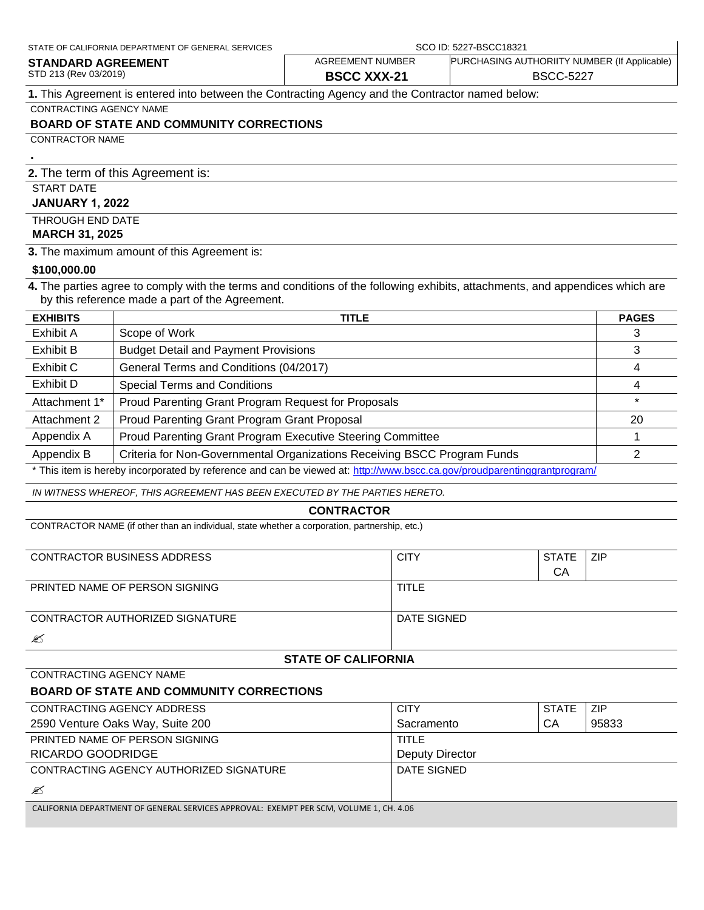| STATE OF CALIFORNIA DEPARTMENT OF GENERAL SERVICES                                               | SCO ID: 5227-BSCC18321 |                                              |  |
|--------------------------------------------------------------------------------------------------|------------------------|----------------------------------------------|--|
| <b>STANDARD AGREEMENT</b>                                                                        | AGREEMENT NUMBER       | PURCHASING AUTHORIITY NUMBER (If Applicable) |  |
| STD 213 (Rev 03/2019)                                                                            | <b>BSCC XXX-21</b>     | <b>BSCC-5227</b>                             |  |
| 1. This Agreement is entered into between the Contracting Agency and the Contractor named below: |                        |                                              |  |
| <b>CONTRACTING AGENCY NAME</b>                                                                   |                        |                                              |  |
| <b>BOARD OF STATE AND COMMUNITY CORRECTIONS</b>                                                  |                        |                                              |  |
| <b>CONTRACTOR NAME</b>                                                                           |                        |                                              |  |
|                                                                                                  |                        |                                              |  |
| 2. The term of this Agreement is:                                                                |                        |                                              |  |
| <b>START DATE</b>                                                                                |                        |                                              |  |
| <b>JANUARY 1, 2022</b>                                                                           |                        |                                              |  |

 $\mathbf{I}$ 

THROUGH END DATE **MARCH 31, 2025**

**3.** The maximum amount of this Agreement is:

#### **\$100,000.00**

**4.** The parties agree to comply with the terms and conditions of the following exhibits, attachments, and appendices which are by this reference made a part of the Agreement.

| <b>EXHIBITS</b> | <b>TITLE</b>                                                                                                             | <b>PAGES</b> |
|-----------------|--------------------------------------------------------------------------------------------------------------------------|--------------|
| Exhibit A       | Scope of Work                                                                                                            |              |
| Exhibit B       | <b>Budget Detail and Payment Provisions</b>                                                                              |              |
| Exhibit C       | General Terms and Conditions (04/2017)                                                                                   |              |
| Exhibit D       | <b>Special Terms and Conditions</b>                                                                                      |              |
| Attachment 1*   | Proud Parenting Grant Program Request for Proposals                                                                      |              |
| Attachment 2    | Proud Parenting Grant Program Grant Proposal                                                                             | 20           |
| Appendix A      | Proud Parenting Grant Program Executive Steering Committee                                                               |              |
| Appendix B      | Criteria for Non-Governmental Organizations Receiving BSCC Program Funds                                                 |              |
|                 | * This item is hereby incorporated by reference and can be viewed at: http://www.bscc.ca.gov/proudparentinggrantprogram/ |              |

*IN WITNESS WHEREOF, THIS AGREEMENT HAS BEEN EXECUTED BY THE PARTIES HERETO.*

#### **CONTRACTOR**

CONTRACTOR NAME (if other than an individual, state whether a corporation, partnership, etc.)

| CONTRACTOR BUSINESS ADDRESS     | <b>CITY</b>  | <b>STATE</b> | <b>ZIP</b> |
|---------------------------------|--------------|--------------|------------|
|                                 |              | CА           |            |
| PRINTED NAME OF PERSON SIGNING  | <b>TITLE</b> |              |            |
|                                 |              |              |            |
| CONTRACTOR AUTHORIZED SIGNATURE | DATE SIGNED  |              |            |
| ∕                               |              |              |            |

#### **STATE OF CALIFORNIA**

#### **BOARD OF STATE AND COMMUNITY CORRECTIONS**

CONTRACTING AGENCY NAME

| CONTRACTING AGENCY ADDRESS                                                        | <b>CITY</b>     | <b>STATE</b> | <b>ZIP</b> |
|-----------------------------------------------------------------------------------|-----------------|--------------|------------|
| 2590 Venture Oaks Way, Suite 200                                                  | Sacramento      | СA           | 95833      |
| PRINTED NAME OF PERSON SIGNING                                                    | TITLE           |              |            |
| RICARDO GOODRIDGE                                                                 | Deputy Director |              |            |
| CONTRACTING AGENCY AUTHORIZED SIGNATURE                                           | DATE SIGNED     |              |            |
| ∕                                                                                 |                 |              |            |
| CALIEODNIA DEDARTMENT OF CENERAL CERVICES ARRANGAME. EVEMPT RERISONALMENT OF A OG |                 |              |            |

CALIFORNIA DEPARTMENT OF GENERAL SERVICES APPROVAL: EXEMPT PER SCM, VOLUME 1, CH. 4.06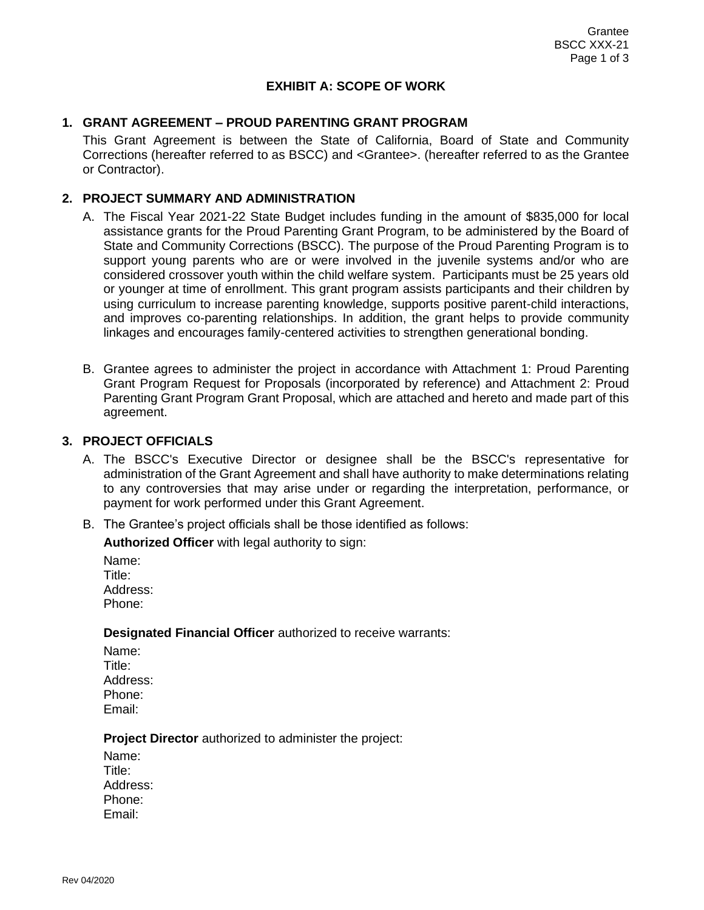#### **EXHIBIT A: SCOPE OF WORK**

#### **1. GRANT AGREEMENT – PROUD PARENTING GRANT PROGRAM**

This Grant Agreement is between the State of California, Board of State and Community Corrections (hereafter referred to as BSCC) and <Grantee>. (hereafter referred to as the Grantee or Contractor).

#### **2. PROJECT SUMMARY AND ADMINISTRATION**

- A. The Fiscal Year 2021-22 State Budget includes funding in the amount of \$835,000 for local assistance grants for the Proud Parenting Grant Program, to be administered by the Board of State and Community Corrections (BSCC). The purpose of the Proud Parenting Program is to support young parents who are or were involved in the juvenile systems and/or who are considered crossover youth within the child welfare system. Participants must be 25 years old or younger at time of enrollment. This grant program assists participants and their children by using curriculum to increase parenting knowledge, supports positive parent-child interactions, and improves co-parenting relationships. In addition, the grant helps to provide community linkages and encourages family-centered activities to strengthen generational bonding.
- B. Grantee agrees to administer the project in accordance with Attachment 1: Proud Parenting Grant Program Request for Proposals (incorporated by reference) and Attachment 2: Proud Parenting Grant Program Grant Proposal, which are attached and hereto and made part of this agreement.

#### **3. PROJECT OFFICIALS**

- A. The BSCC's Executive Director or designee shall be the BSCC's representative for administration of the Grant Agreement and shall have authority to make determinations relating to any controversies that may arise under or regarding the interpretation, performance, or payment for work performed under this Grant Agreement.
- B. The Grantee's project officials shall be those identified as follows:

**Authorized Officer** with legal authority to sign:

Name: Title<sup>.</sup> Address: Phone:

#### **Designated Financial Officer** authorized to receive warrants:

Name: Title: Address: Phone: Email:

#### **Project Director** authorized to administer the project:

Name: Title: Address: Phone: Email: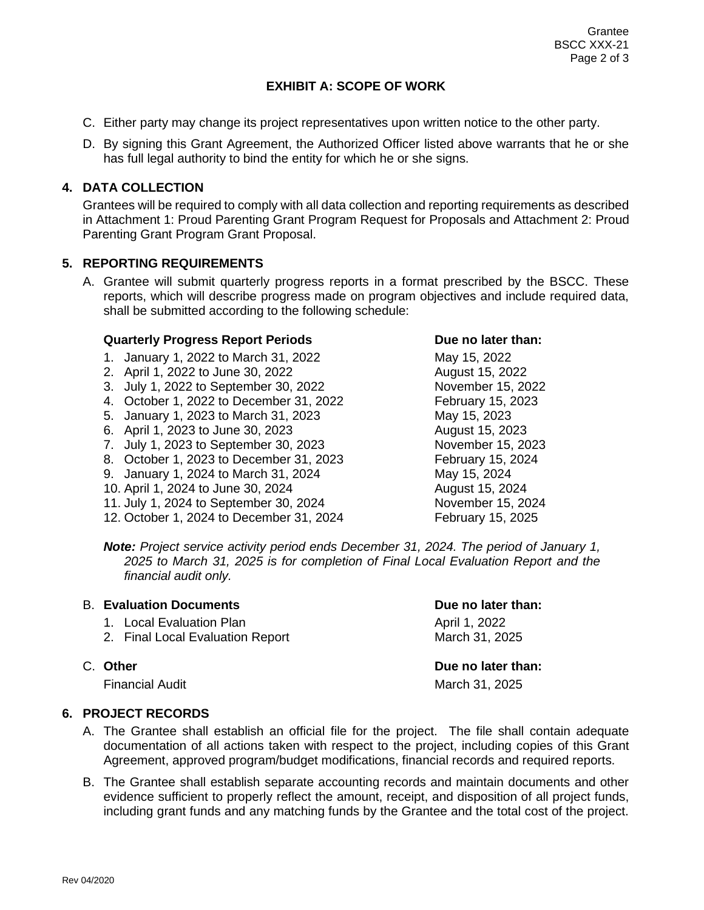# **EXHIBIT A: SCOPE OF WORK**

- C. Either party may change its project representatives upon written notice to the other party.
- D. By signing this Grant Agreement, the Authorized Officer listed above warrants that he or she has full legal authority to bind the entity for which he or she signs.

# **4. DATA COLLECTION**

Grantees will be required to comply with all data collection and reporting requirements as described in Attachment 1: Proud Parenting Grant Program Request for Proposals and Attachment 2: Proud Parenting Grant Program Grant Proposal.

# **5. REPORTING REQUIREMENTS**

A. Grantee will submit quarterly progress reports in a format prescribed by the BSCC. These reports, which will describe progress made on program objectives and include required data, shall be submitted according to the following schedule:

# **Quarterly Progress Report Periods The Convention Convention Due no later than:**

- 1. January 1, 2022 to March 31, 2022 May 15, 2022
- 2. April 1, 2022 to June 30, 2022 August 15, 2022
- 3. July 1, 2022 to September 30, 2022 November 15, 2022
- 4. October 1, 2022 to December 31, 2022 February 15, 2023
- 5. January 1, 2023 to March 31, 2023 May 15, 2023
- 6. April 1, 2023 to June 30, 2023 August 15, 2023
- 7. July 1, 2023 to September 30, 2023 November 15, 2023
- 8. October 1, 2023 to December 31, 2023 February 15, 2024
- 9. January 1, 2024 to March 31, 2024 May 15, 2024
- 10. April 1, 2024 to June 30, 2024 August 15, 2024
- 11. July 1, 2024 to September 30, 2024 November 15, 2024
- 12. October 1, 2024 to December 31, 2024 February 15, 2025

*Note: Project service activity period ends December 31, 2024. The period of January 1, 2025 to March 31, 2025 is for completion of Final Local Evaluation Report and the financial audit only.*

# B. **Evaluation Documents Due no later than:**

- 1. Local Evaluation Plan April 1, 2022
- 2. Final Local Evaluation Report March 31, 2025

Financial Audit **March 31, 2025** 

# C. **Other Due no later than:**

# **6. PROJECT RECORDS**

- A. The Grantee shall establish an official file for the project. The file shall contain adequate documentation of all actions taken with respect to the project, including copies of this Grant Agreement, approved program/budget modifications, financial records and required reports.
- B. The Grantee shall establish separate accounting records and maintain documents and other evidence sufficient to properly reflect the amount, receipt, and disposition of all project funds, including grant funds and any matching funds by the Grantee and the total cost of the project.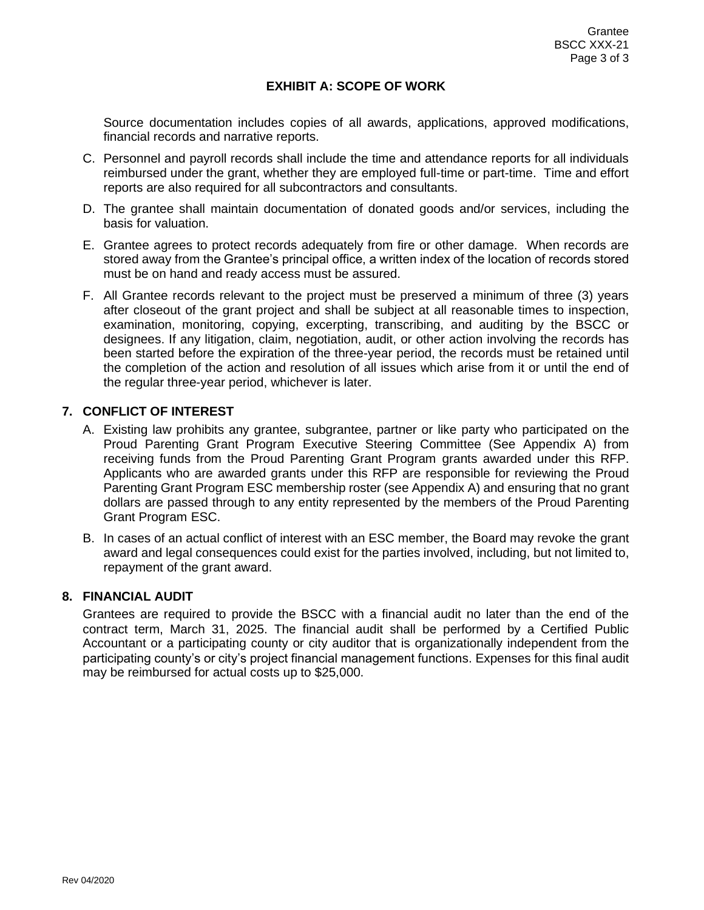#### **EXHIBIT A: SCOPE OF WORK**

Source documentation includes copies of all awards, applications, approved modifications, financial records and narrative reports.

- C. Personnel and payroll records shall include the time and attendance reports for all individuals reimbursed under the grant, whether they are employed full-time or part-time. Time and effort reports are also required for all subcontractors and consultants.
- D. The grantee shall maintain documentation of donated goods and/or services, including the basis for valuation.
- E. Grantee agrees to protect records adequately from fire or other damage. When records are stored away from the Grantee's principal office, a written index of the location of records stored must be on hand and ready access must be assured.
- F. All Grantee records relevant to the project must be preserved a minimum of three (3) years after closeout of the grant project and shall be subject at all reasonable times to inspection, examination, monitoring, copying, excerpting, transcribing, and auditing by the BSCC or designees. If any litigation, claim, negotiation, audit, or other action involving the records has been started before the expiration of the three-year period, the records must be retained until the completion of the action and resolution of all issues which arise from it or until the end of the regular three-year period, whichever is later.

#### **7. CONFLICT OF INTEREST**

- A. Existing law prohibits any grantee, subgrantee, partner or like party who participated on the Proud Parenting Grant Program Executive Steering Committee (See Appendix A) from receiving funds from the Proud Parenting Grant Program grants awarded under this RFP. Applicants who are awarded grants under this RFP are responsible for reviewing the Proud Parenting Grant Program ESC membership roster (see Appendix A) and ensuring that no grant dollars are passed through to any entity represented by the members of the Proud Parenting Grant Program ESC.
- B. In cases of an actual conflict of interest with an ESC member, the Board may revoke the grant award and legal consequences could exist for the parties involved, including, but not limited to, repayment of the grant award.

### **8. FINANCIAL AUDIT**

Grantees are required to provide the BSCC with a financial audit no later than the end of the contract term, March 31, 2025. The financial audit shall be performed by a Certified Public Accountant or a participating county or city auditor that is organizationally independent from the participating county's or city's project financial management functions. Expenses for this final audit may be reimbursed for actual costs up to \$25,000.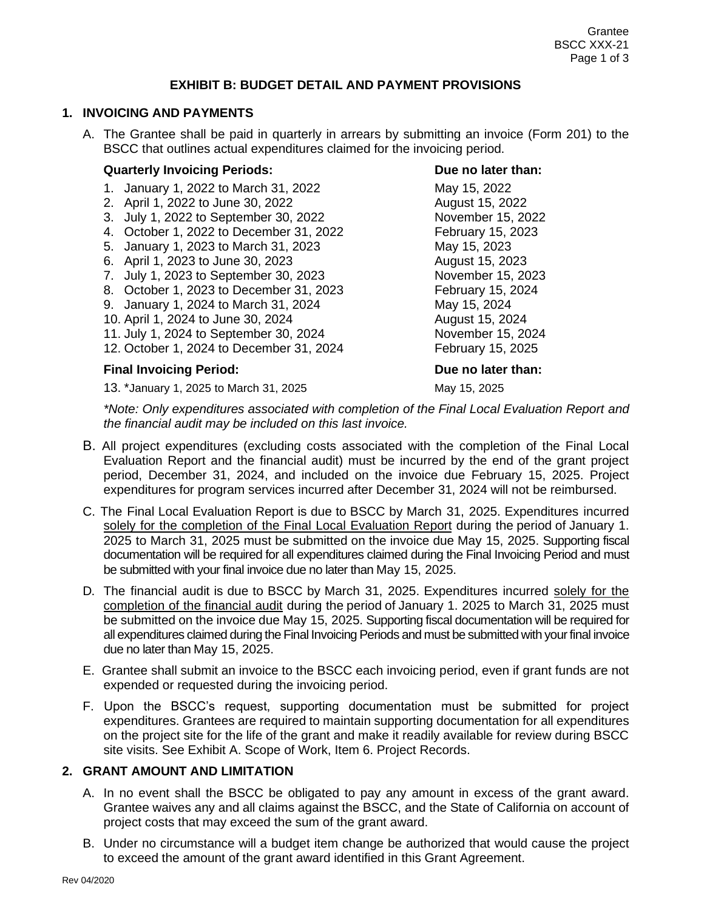#### **EXHIBIT B: BUDGET DETAIL AND PAYMENT PROVISIONS**

#### **1. INVOICING AND PAYMENTS**

A. The Grantee shall be paid in quarterly in arrears by submitting an invoice (Form 201) to the BSCC that outlines actual expenditures claimed for the invoicing period.

#### **Quarterly Invoicing Periods: Due no later than:**

- 1. January 1, 2022 to March 31, 2022 May 15, 2022
- 2. April 1, 2022 to June 30, 2022 August 15, 2022
- 3. July 1, 2022 to September 30, 2022 November 15, 2022
- 4. October 1, 2022 to December 31, 2022 February 15, 2023
- 5. January 1, 2023 to March 31, 2023 May 15, 2023
- 6. April 1, 2023 to June 30, 2023 August 15, 2023
- 7. July 1, 2023 to September 30, 2023 November 15, 2023
- 8. October 1, 2023 to December 31, 2023 February 15, 2024
- 9. January 1, 2024 to March 31, 2024 May 15, 2024
- 10. April 1, 2024 to June 30, 2024 <br>
August 15, 2024
- 11. July 1, 2024 to September 30, 2024 November 15, 2024
- 12. October 1, 2024 to December 31, 2024 February 15, 2025

#### **Final Invoicing Period: Due no later than:**

13. \*January 1, 2025 to March 31, 2025 May 15, 2025 May 15, 2025

*\*Note: Only expenditures associated with completion of the Final Local Evaluation Report and the financial audit may be included on this last invoice.*

- B. All project expenditures (excluding costs associated with the completion of the Final Local Evaluation Report and the financial audit) must be incurred by the end of the grant project period, December 31, 2024, and included on the invoice due February 15, 2025. Project expenditures for program services incurred after December 31, 2024 will not be reimbursed.
- C. The Final Local Evaluation Report is due to BSCC by March 31, 2025. Expenditures incurred solely for the completion of the Final Local Evaluation Report during the period of January 1. 2025 to March 31, 2025 must be submitted on the invoice due May 15, 2025. Supporting fiscal documentation will be required for all expenditures claimed during the Final Invoicing Period and must be submitted with your final invoice due no later than May 15, 2025.
- D. The financial audit is due to BSCC by March 31, 2025. Expenditures incurred solely for the completion of the financial audit during the period of January 1. 2025 to March 31, 2025 must be submitted on the invoice due May 15, 2025. Supporting fiscal documentation will be required for all expenditures claimed during the Final Invoicing Periods and must be submitted with your final invoice due no later than May 15, 2025.
- E. Grantee shall submit an invoice to the BSCC each invoicing period, even if grant funds are not expended or requested during the invoicing period.
- F. Upon the BSCC's request, supporting documentation must be submitted for project expenditures. Grantees are required to maintain supporting documentation for all expenditures on the project site for the life of the grant and make it readily available for review during BSCC site visits. See Exhibit A. Scope of Work, Item 6. Project Records.

#### **2. GRANT AMOUNT AND LIMITATION**

- A. In no event shall the BSCC be obligated to pay any amount in excess of the grant award. Grantee waives any and all claims against the BSCC, and the State of California on account of project costs that may exceed the sum of the grant award.
- B. Under no circumstance will a budget item change be authorized that would cause the project to exceed the amount of the grant award identified in this Grant Agreement.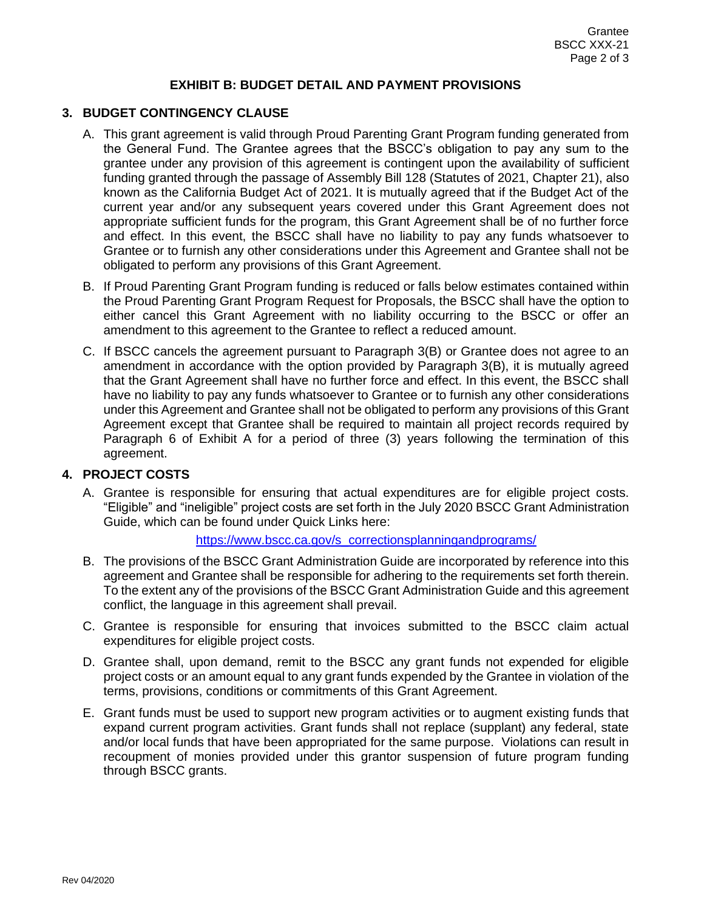#### **EXHIBIT B: BUDGET DETAIL AND PAYMENT PROVISIONS**

#### **3. BUDGET CONTINGENCY CLAUSE**

- A. This grant agreement is valid through Proud Parenting Grant Program funding generated from the General Fund. The Grantee agrees that the BSCC's obligation to pay any sum to the grantee under any provision of this agreement is contingent upon the availability of sufficient funding granted through the passage of Assembly Bill 128 (Statutes of 2021, Chapter 21), also known as the California Budget Act of 2021. It is mutually agreed that if the Budget Act of the current year and/or any subsequent years covered under this Grant Agreement does not appropriate sufficient funds for the program, this Grant Agreement shall be of no further force and effect. In this event, the BSCC shall have no liability to pay any funds whatsoever to Grantee or to furnish any other considerations under this Agreement and Grantee shall not be obligated to perform any provisions of this Grant Agreement.
- B. If Proud Parenting Grant Program funding is reduced or falls below estimates contained within the Proud Parenting Grant Program Request for Proposals, the BSCC shall have the option to either cancel this Grant Agreement with no liability occurring to the BSCC or offer an amendment to this agreement to the Grantee to reflect a reduced amount.
- C. If BSCC cancels the agreement pursuant to Paragraph 3(B) or Grantee does not agree to an amendment in accordance with the option provided by Paragraph 3(B), it is mutually agreed that the Grant Agreement shall have no further force and effect. In this event, the BSCC shall have no liability to pay any funds whatsoever to Grantee or to furnish any other considerations under this Agreement and Grantee shall not be obligated to perform any provisions of this Grant Agreement except that Grantee shall be required to maintain all project records required by Paragraph 6 of Exhibit A for a period of three (3) years following the termination of this agreement.

#### **4. PROJECT COSTS**

A. Grantee is responsible for ensuring that actual expenditures are for eligible project costs. "Eligible" and "ineligible" project costs are set forth in the July 2020 BSCC Grant Administration Guide, which can be found under Quick Links here:

#### [https://www.bscc.ca.gov/s\\_correctionsplanningandprograms/](https://www.bscc.ca.gov/s_correctionsplanningandprograms/)

- B. The provisions of the BSCC Grant Administration Guide are incorporated by reference into this agreement and Grantee shall be responsible for adhering to the requirements set forth therein. To the extent any of the provisions of the BSCC Grant Administration Guide and this agreement conflict, the language in this agreement shall prevail.
- C. Grantee is responsible for ensuring that invoices submitted to the BSCC claim actual expenditures for eligible project costs.
- D. Grantee shall, upon demand, remit to the BSCC any grant funds not expended for eligible project costs or an amount equal to any grant funds expended by the Grantee in violation of the terms, provisions, conditions or commitments of this Grant Agreement.
- E. Grant funds must be used to support new program activities or to augment existing funds that expand current program activities. Grant funds shall not replace (supplant) any federal, state and/or local funds that have been appropriated for the same purpose. Violations can result in recoupment of monies provided under this grantor suspension of future program funding through BSCC grants.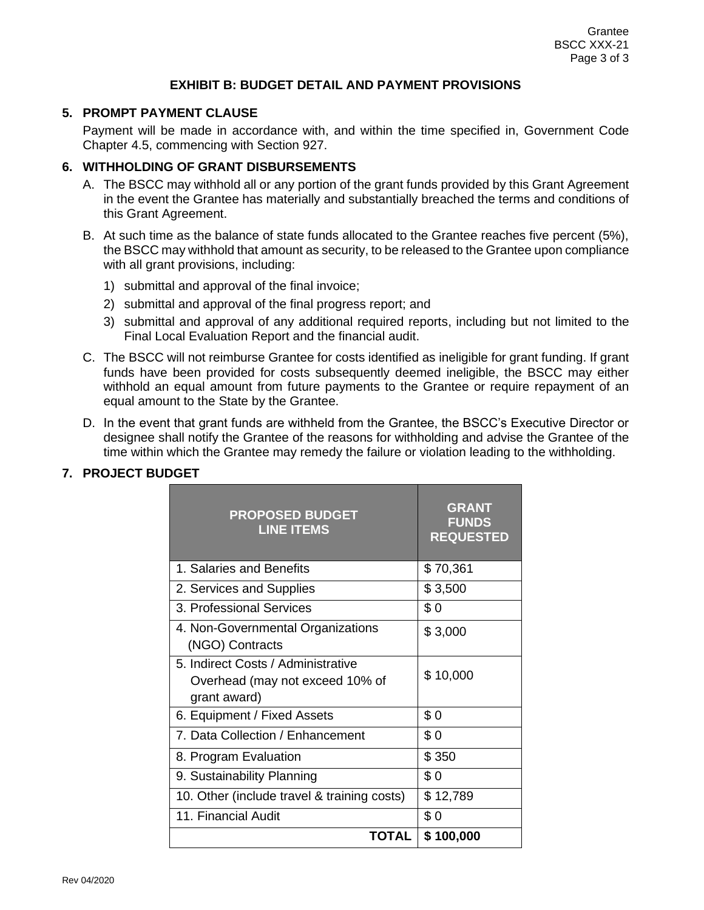#### **EXHIBIT B: BUDGET DETAIL AND PAYMENT PROVISIONS**

#### **5. PROMPT PAYMENT CLAUSE**

Payment will be made in accordance with, and within the time specified in, Government Code Chapter 4.5, commencing with Section 927.

### **6. WITHHOLDING OF GRANT DISBURSEMENTS**

- A. The BSCC may withhold all or any portion of the grant funds provided by this Grant Agreement in the event the Grantee has materially and substantially breached the terms and conditions of this Grant Agreement.
- B. At such time as the balance of state funds allocated to the Grantee reaches five percent (5%), the BSCC may withhold that amount as security, to be released to the Grantee upon compliance with all grant provisions, including:
	- 1) submittal and approval of the final invoice;
	- 2) submittal and approval of the final progress report; and
	- 3) submittal and approval of any additional required reports, including but not limited to the Final Local Evaluation Report and the financial audit.
- C. The BSCC will not reimburse Grantee for costs identified as ineligible for grant funding. If grant funds have been provided for costs subsequently deemed ineligible, the BSCC may either withhold an equal amount from future payments to the Grantee or require repayment of an equal amount to the State by the Grantee.
- D. In the event that grant funds are withheld from the Grantee, the BSCC's Executive Director or designee shall notify the Grantee of the reasons for withholding and advise the Grantee of the time within which the Grantee may remedy the failure or violation leading to the withholding.

| <b>PROPOSED BUDGET</b><br><b>LINE ITEMS</b>                                           | <b>GRANT</b><br><b>FUNDS</b><br><b>REQUESTED</b> |
|---------------------------------------------------------------------------------------|--------------------------------------------------|
| 1. Salaries and Benefits                                                              | \$70,361                                         |
| 2. Services and Supplies                                                              | \$3,500                                          |
| 3. Professional Services                                                              | \$0                                              |
| 4. Non-Governmental Organizations<br>(NGO) Contracts                                  | \$3,000                                          |
| 5. Indirect Costs / Administrative<br>Overhead (may not exceed 10% of<br>grant award) | \$10,000                                         |
| 6. Equipment / Fixed Assets                                                           | \$0                                              |
| 7. Data Collection / Enhancement                                                      | \$0                                              |
| 8. Program Evaluation                                                                 | \$350                                            |
| 9. Sustainability Planning                                                            | \$0                                              |
| 10. Other (include travel & training costs)                                           | \$12,789                                         |
| 11. Financial Audit                                                                   | \$0                                              |
| <b>TOTAL</b>                                                                          | \$100,000                                        |

#### **7. PROJECT BUDGET**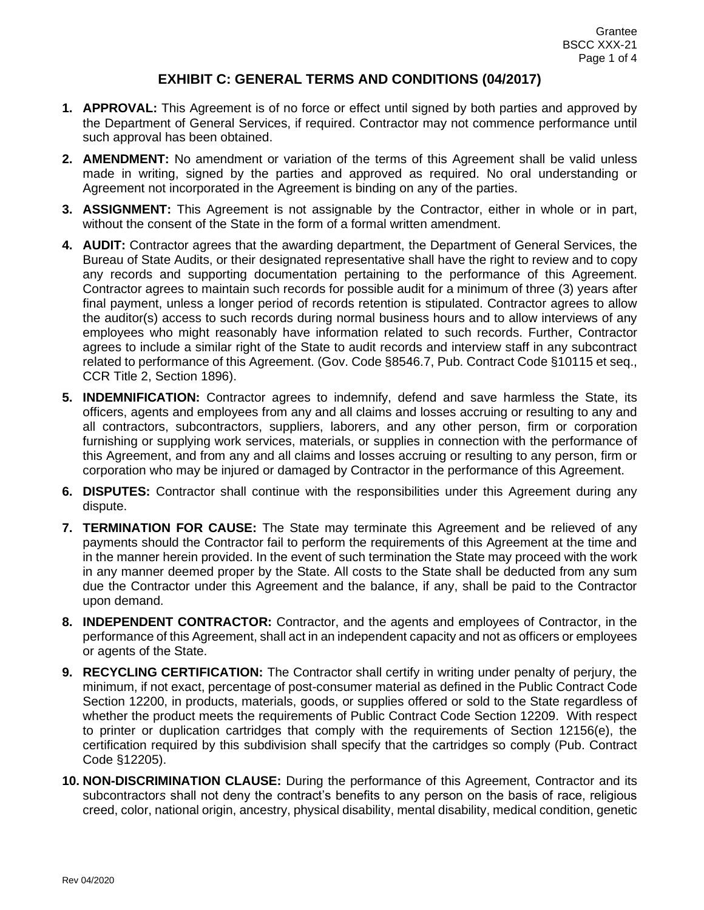- **1. APPROVAL:** This Agreement is of no force or effect until signed by both parties and approved by the Department of General Services, if required. Contractor may not commence performance until such approval has been obtained.
- **2. AMENDMENT:** No amendment or variation of the terms of this Agreement shall be valid unless made in writing, signed by the parties and approved as required. No oral understanding or Agreement not incorporated in the Agreement is binding on any of the parties.
- **3. ASSIGNMENT:** This Agreement is not assignable by the Contractor, either in whole or in part, without the consent of the State in the form of a formal written amendment.
- **4. AUDIT:** Contractor agrees that the awarding department, the Department of General Services, the Bureau of State Audits, or their designated representative shall have the right to review and to copy any records and supporting documentation pertaining to the performance of this Agreement. Contractor agrees to maintain such records for possible audit for a minimum of three (3) years after final payment, unless a longer period of records retention is stipulated. Contractor agrees to allow the auditor(s) access to such records during normal business hours and to allow interviews of any employees who might reasonably have information related to such records. Further, Contractor agrees to include a similar right of the State to audit records and interview staff in any subcontract related to performance of this Agreement. (Gov. Code §8546.7, Pub. Contract Code §10115 et seq., CCR Title 2, Section 1896).
- **5. INDEMNIFICATION:** Contractor agrees to indemnify, defend and save harmless the State, its officers, agents and employees from any and all claims and losses accruing or resulting to any and all contractors, subcontractors, suppliers, laborers, and any other person, firm or corporation furnishing or supplying work services, materials, or supplies in connection with the performance of this Agreement, and from any and all claims and losses accruing or resulting to any person, firm or corporation who may be injured or damaged by Contractor in the performance of this Agreement.
- **6. DISPUTES:** Contractor shall continue with the responsibilities under this Agreement during any dispute.
- **7. TERMINATION FOR CAUSE:** The State may terminate this Agreement and be relieved of any payments should the Contractor fail to perform the requirements of this Agreement at the time and in the manner herein provided. In the event of such termination the State may proceed with the work in any manner deemed proper by the State. All costs to the State shall be deducted from any sum due the Contractor under this Agreement and the balance, if any, shall be paid to the Contractor upon demand.
- **8. INDEPENDENT CONTRACTOR:** Contractor, and the agents and employees of Contractor, in the performance of this Agreement, shall act in an independent capacity and not as officers or employees or agents of the State.
- **9. RECYCLING CERTIFICATION:** The Contractor shall certify in writing under penalty of perjury, the minimum, if not exact, percentage of post-consumer material as defined in the Public Contract Code Section 12200, in products, materials, goods, or supplies offered or sold to the State regardless of whether the product meets the requirements of Public Contract Code Section 12209. With respect to printer or duplication cartridges that comply with the requirements of Section 12156(e), the certification required by this subdivision shall specify that the cartridges so comply (Pub. Contract Code §12205).
- **10. NON-DISCRIMINATION CLAUSE:** During the performance of this Agreement, Contractor and its subcontractor*s* shall not deny the contract's benefits to any person on the basis of race, religious creed, color, national origin, ancestry, physical disability, mental disability, medical condition, genetic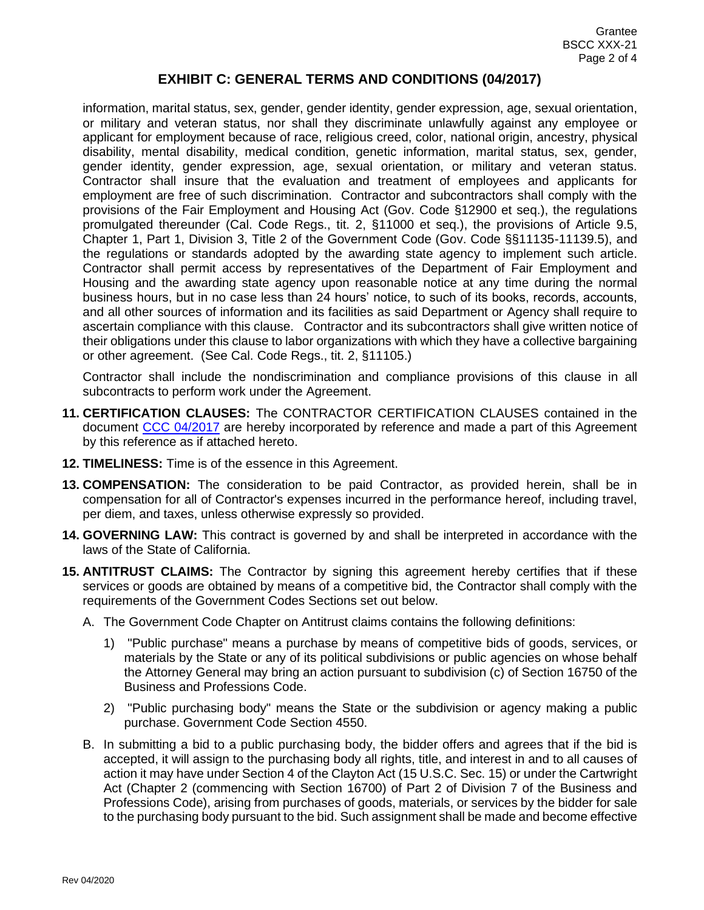information, marital status, sex, gender, gender identity, gender expression, age, sexual orientation, or military and veteran status, nor shall they discriminate unlawfully against any employee or applicant for employment because of race, religious creed, color, national origin, ancestry, physical disability, mental disability, medical condition, genetic information, marital status, sex, gender, gender identity, gender expression, age, sexual orientation, or military and veteran status. Contractor shall insure that the evaluation and treatment of employees and applicants for employment are free of such discrimination. Contractor and subcontractors shall comply with the provision*s* of the Fair Employment and Housing Act (Gov. Code §12900 et seq.), the regulations promulgated thereunder (Cal. Code Regs., tit. 2, §11000 et seq.), the provisions of Article 9.5, Chapter 1, Part 1, Division 3, Title 2 of the Government Code (Gov. Code §§11135-11139.5), and the regulations or standards adopted by the awarding state agency to implement such article. Contractor shall permit access by representatives of the Department of Fair Employment and Housing and the awarding state agency upon reasonable notice at any time during the normal business hours, but in no case less than 24 hours' notice, to such of its books, records, accounts, and all other sources of information and its facilities as said Department or Agency shall require to ascertain compliance with this clause. Contractor and its subcontractor*s* shall give written notice of their obligations under this clause to labor organizations with which they have a collective bargaining or other agreement. (See Cal. Code Regs., tit. 2, §11105.)

Contractor shall include the nondiscrimination and compliance provisions of this clause in all subcontracts to perform work under the Agreement.

- **11. CERTIFICATION CLAUSES:** The CONTRACTOR CERTIFICATION CLAUSES contained in the document [CCC 04/2017](http://bscchomepageofh6i2avqeocm.usgovarizona.cloudapp.usgovcloudapi.net/ccc-042017-contractor-certification-clause/) are hereby incorporated by reference and made a part of this Agreement by this reference as if attached hereto.
- **12. TIMELINESS:** Time is of the essence in this Agreement.
- **13. COMPENSATION:** The consideration to be paid Contractor, as provided herein, shall be in compensation for all of Contractor's expenses incurred in the performance hereof, including travel, per diem, and taxes, unless otherwise expressly so provided.
- **14. GOVERNING LAW:** This contract is governed by and shall be interpreted in accordance with the laws of the State of California.
- **15. ANTITRUST CLAIMS:** The Contractor by signing this agreement hereby certifies that if these services or goods are obtained by means of a competitive bid, the Contractor shall comply with the requirements of the Government Codes Sections set out below.
	- A. The Government Code Chapter on Antitrust claims contains the following definitions:
		- 1) "Public purchase" means a purchase by means of competitive bids of goods, services, or materials by the State or any of its political subdivisions or public agencies on whose behalf the Attorney General may bring an action pursuant to subdivision (c) of Section 16750 of the Business and Professions Code.
		- 2) "Public purchasing body" means the State or the subdivision or agency making a public purchase. Government Code Section 4550.
	- B. In submitting a bid to a public purchasing body, the bidder offers and agrees that if the bid is accepted, it will assign to the purchasing body all rights, title, and interest in and to all causes of action it may have under Section 4 of the Clayton Act (15 U.S.C. Sec. 15) or under the Cartwright Act (Chapter 2 (commencing with Section 16700) of Part 2 of Division 7 of the Business and Professions Code), arising from purchases of goods, materials, or services by the bidder for sale to the purchasing body pursuant to the bid. Such assignment shall be made and become effective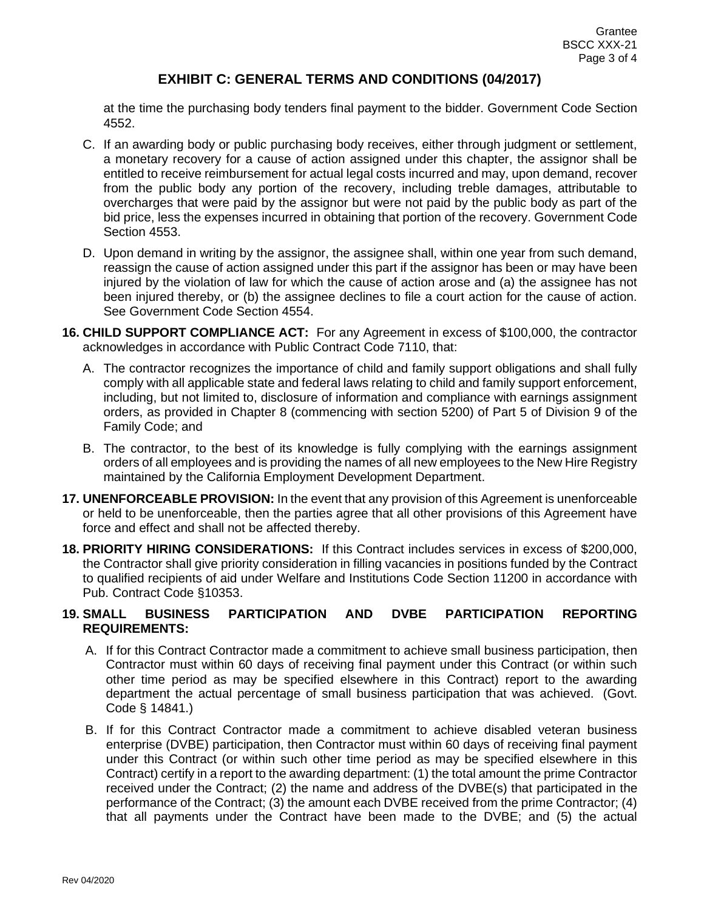at the time the purchasing body tenders final payment to the bidder. Government Code Section 4552.

- C. If an awarding body or public purchasing body receives, either through judgment or settlement, a monetary recovery for a cause of action assigned under this chapter, the assignor shall be entitled to receive reimbursement for actual legal costs incurred and may, upon demand, recover from the public body any portion of the recovery, including treble damages, attributable to overcharges that were paid by the assignor but were not paid by the public body as part of the bid price, less the expenses incurred in obtaining that portion of the recovery. Government Code Section 4553.
- D. Upon demand in writing by the assignor, the assignee shall, within one year from such demand, reassign the cause of action assigned under this part if the assignor has been or may have been injured by the violation of law for which the cause of action arose and (a) the assignee has not been injured thereby, or (b) the assignee declines to file a court action for the cause of action. See Government Code Section 4554.
- **16. CHILD SUPPORT COMPLIANCE ACT:** For any Agreement in excess of \$100,000, the contractor acknowledges in accordance with Public Contract Code 7110, that:
	- A. The contractor recognizes the importance of child and family support obligations and shall fully comply with all applicable state and federal laws relating to child and family support enforcement, including, but not limited to, disclosure of information and compliance with earnings assignment orders, as provided in Chapter 8 (commencing with section 5200) of Part 5 of Division 9 of the Family Code; and
	- B. The contractor, to the best of its knowledge is fully complying with the earnings assignment orders of all employees and is providing the names of all new employees to the New Hire Registry maintained by the California Employment Development Department.
- **17. UNENFORCEABLE PROVISION:** In the event that any provision of this Agreement is unenforceable or held to be unenforceable, then the parties agree that all other provisions of this Agreement have force and effect and shall not be affected thereby.
- **18. PRIORITY HIRING CONSIDERATIONS:** If this Contract includes services in excess of \$200,000, the Contractor shall give priority consideration in filling vacancies in positions funded by the Contract to qualified recipients of aid under Welfare and Institutions Code Section 11200 in accordance with Pub. Contract Code §10353.

#### **19. SMALL BUSINESS PARTICIPATION AND DVBE PARTICIPATION REPORTING REQUIREMENTS:**

- A. If for this Contract Contractor made a commitment to achieve small business participation, then Contractor must within 60 days of receiving final payment under this Contract (or within such other time period as may be specified elsewhere in this Contract) report to the awarding department the actual percentage of small business participation that was achieved. (Govt. Code § 14841.)
- B. If for this Contract Contractor made a commitment to achieve disabled veteran business enterprise (DVBE) participation, then Contractor must within 60 days of receiving final payment under this Contract (or within such other time period as may be specified elsewhere in this Contract) certify in a report to the awarding department: (1) the total amount the prime Contractor received under the Contract; (2) the name and address of the DVBE(s) that participated in the performance of the Contract; (3) the amount each DVBE received from the prime Contractor; (4) that all payments under the Contract have been made to the DVBE; and (5) the actual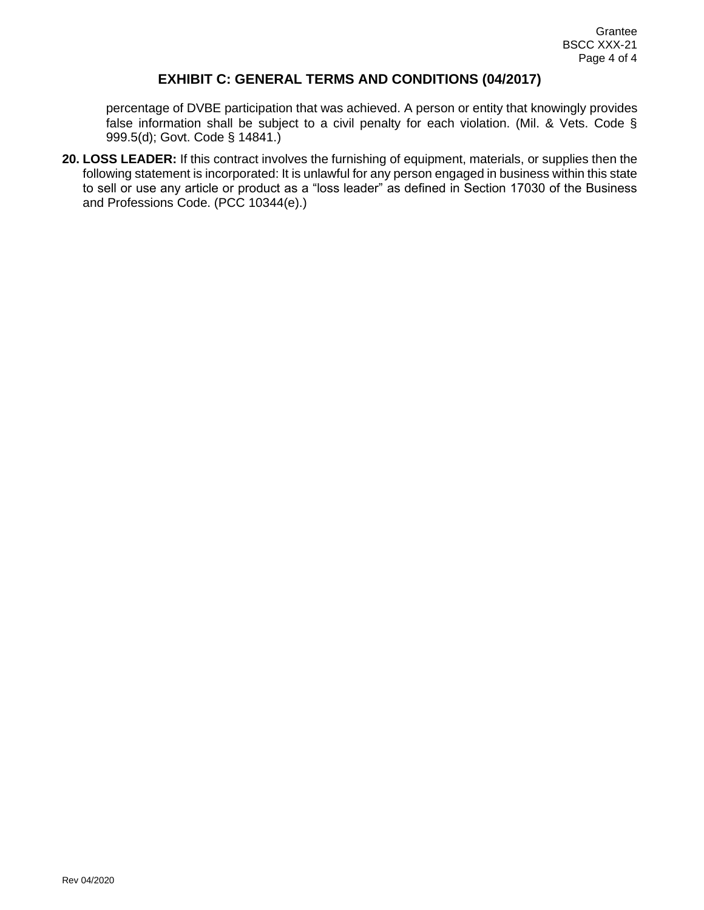percentage of DVBE participation that was achieved. A person or entity that knowingly provides false information shall be subject to a civil penalty for each violation. (Mil. & Vets. Code § 999.5(d); Govt. Code § 14841.)

**20. LOSS LEADER:** If this contract involves the furnishing of equipment, materials, or supplies then the following statement is incorporated: It is unlawful for any person engaged in business within this state to sell or use any article or product as a "loss leader" as defined in Section 17030 of the Business and Professions Code. (PCC 10344(e).)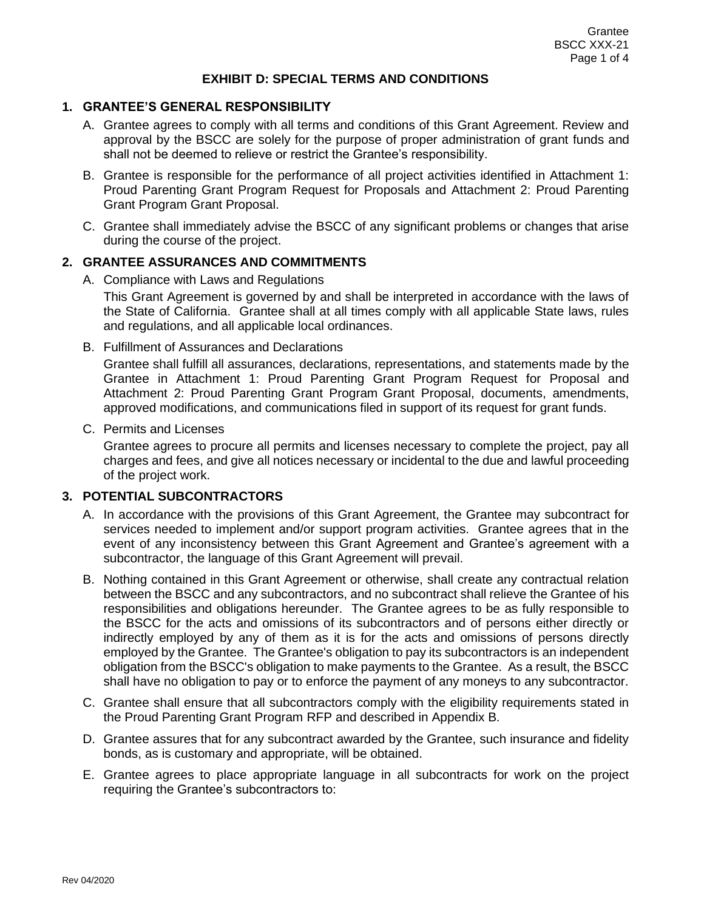#### **1. GRANTEE'S GENERAL RESPONSIBILITY**

- A. Grantee agrees to comply with all terms and conditions of this Grant Agreement. Review and approval by the BSCC are solely for the purpose of proper administration of grant funds and shall not be deemed to relieve or restrict the Grantee's responsibility.
- B. Grantee is responsible for the performance of all project activities identified in Attachment 1: Proud Parenting Grant Program Request for Proposals and Attachment 2: Proud Parenting Grant Program Grant Proposal.
- C. Grantee shall immediately advise the BSCC of any significant problems or changes that arise during the course of the project.

#### **2. GRANTEE ASSURANCES AND COMMITMENTS**

A. Compliance with Laws and Regulations

This Grant Agreement is governed by and shall be interpreted in accordance with the laws of the State of California. Grantee shall at all times comply with all applicable State laws, rules and regulations, and all applicable local ordinances.

B. Fulfillment of Assurances and Declarations

Grantee shall fulfill all assurances, declarations, representations, and statements made by the Grantee in Attachment 1: Proud Parenting Grant Program Request for Proposal and Attachment 2: Proud Parenting Grant Program Grant Proposal, documents, amendments, approved modifications, and communications filed in support of its request for grant funds.

C. Permits and Licenses

Grantee agrees to procure all permits and licenses necessary to complete the project, pay all charges and fees, and give all notices necessary or incidental to the due and lawful proceeding of the project work.

#### **3. POTENTIAL SUBCONTRACTORS**

- A. In accordance with the provisions of this Grant Agreement, the Grantee may subcontract for services needed to implement and/or support program activities. Grantee agrees that in the event of any inconsistency between this Grant Agreement and Grantee's agreement with a subcontractor, the language of this Grant Agreement will prevail.
- B. Nothing contained in this Grant Agreement or otherwise, shall create any contractual relation between the BSCC and any subcontractors, and no subcontract shall relieve the Grantee of his responsibilities and obligations hereunder. The Grantee agrees to be as fully responsible to the BSCC for the acts and omissions of its subcontractors and of persons either directly or indirectly employed by any of them as it is for the acts and omissions of persons directly employed by the Grantee. The Grantee's obligation to pay its subcontractors is an independent obligation from the BSCC's obligation to make payments to the Grantee. As a result, the BSCC shall have no obligation to pay or to enforce the payment of any moneys to any subcontractor.
- C. Grantee shall ensure that all subcontractors comply with the eligibility requirements stated in the Proud Parenting Grant Program RFP and described in Appendix B.
- D. Grantee assures that for any subcontract awarded by the Grantee, such insurance and fidelity bonds, as is customary and appropriate, will be obtained.
- E. Grantee agrees to place appropriate language in all subcontracts for work on the project requiring the Grantee's subcontractors to: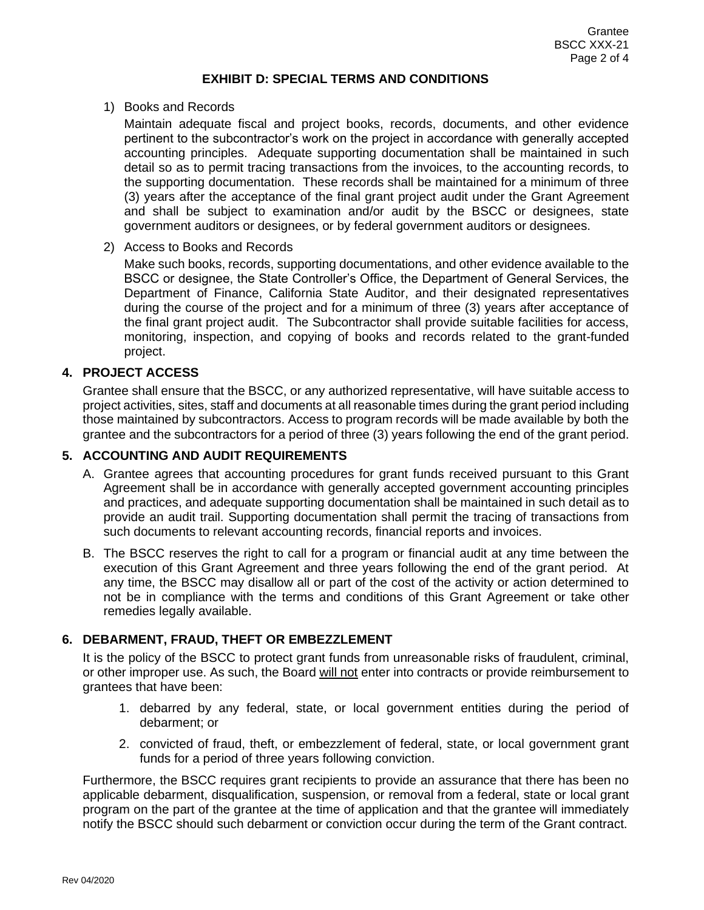#### 1) Books and Records

Maintain adequate fiscal and project books, records, documents, and other evidence pertinent to the subcontractor's work on the project in accordance with generally accepted accounting principles. Adequate supporting documentation shall be maintained in such detail so as to permit tracing transactions from the invoices, to the accounting records, to the supporting documentation. These records shall be maintained for a minimum of three (3) years after the acceptance of the final grant project audit under the Grant Agreement and shall be subject to examination and/or audit by the BSCC or designees, state government auditors or designees, or by federal government auditors or designees.

2) Access to Books and Records

Make such books, records, supporting documentations, and other evidence available to the BSCC or designee, the State Controller's Office, the Department of General Services, the Department of Finance, California State Auditor, and their designated representatives during the course of the project and for a minimum of three (3) years after acceptance of the final grant project audit. The Subcontractor shall provide suitable facilities for access, monitoring, inspection, and copying of books and records related to the grant-funded project.

#### **4. PROJECT ACCESS**

Grantee shall ensure that the BSCC, or any authorized representative, will have suitable access to project activities, sites, staff and documents at all reasonable times during the grant period including those maintained by subcontractors. Access to program records will be made available by both the grantee and the subcontractors for a period of three (3) years following the end of the grant period.

#### **5. ACCOUNTING AND AUDIT REQUIREMENTS**

- A. Grantee agrees that accounting procedures for grant funds received pursuant to this Grant Agreement shall be in accordance with generally accepted government accounting principles and practices, and adequate supporting documentation shall be maintained in such detail as to provide an audit trail. Supporting documentation shall permit the tracing of transactions from such documents to relevant accounting records, financial reports and invoices.
- B. The BSCC reserves the right to call for a program or financial audit at any time between the execution of this Grant Agreement and three years following the end of the grant period. At any time, the BSCC may disallow all or part of the cost of the activity or action determined to not be in compliance with the terms and conditions of this Grant Agreement or take other remedies legally available.

#### **6. DEBARMENT, FRAUD, THEFT OR EMBEZZLEMENT**

It is the policy of the BSCC to protect grant funds from unreasonable risks of fraudulent, criminal, or other improper use. As such, the Board will not enter into contracts or provide reimbursement to grantees that have been:

- 1. debarred by any federal, state, or local government entities during the period of debarment; or
- 2. convicted of fraud, theft, or embezzlement of federal, state, or local government grant funds for a period of three years following conviction.

Furthermore, the BSCC requires grant recipients to provide an assurance that there has been no applicable debarment, disqualification, suspension, or removal from a federal, state or local grant program on the part of the grantee at the time of application and that the grantee will immediately notify the BSCC should such debarment or conviction occur during the term of the Grant contract.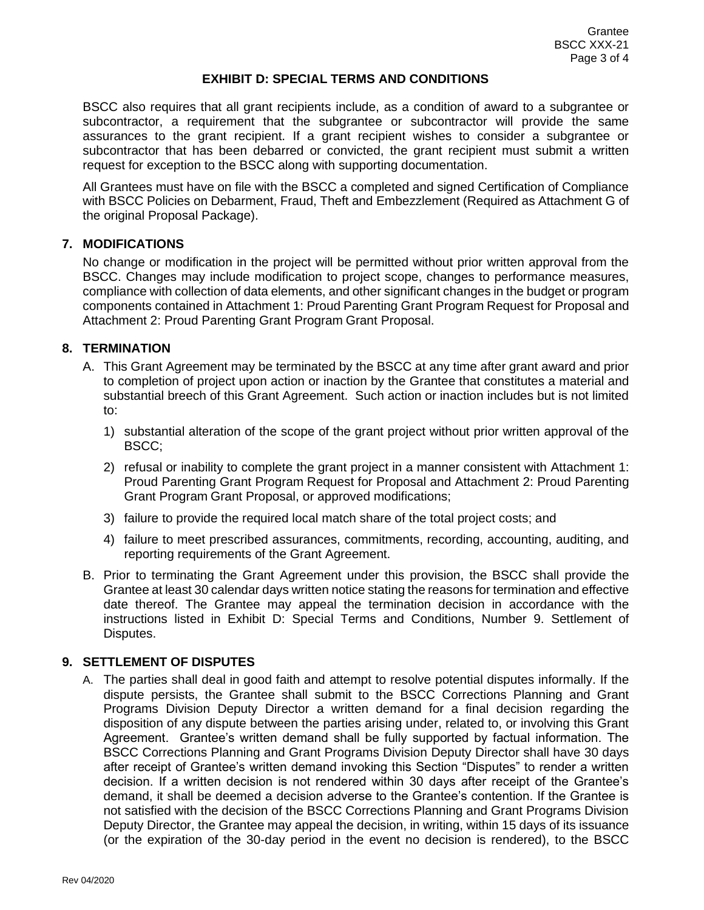BSCC also requires that all grant recipients include, as a condition of award to a subgrantee or subcontractor, a requirement that the subgrantee or subcontractor will provide the same assurances to the grant recipient. If a grant recipient wishes to consider a subgrantee or subcontractor that has been debarred or convicted, the grant recipient must submit a written request for exception to the BSCC along with supporting documentation.

All Grantees must have on file with the BSCC a completed and signed Certification of Compliance with BSCC Policies on Debarment, Fraud, Theft and Embezzlement (Required as Attachment G of the original Proposal Package).

#### **7. MODIFICATIONS**

No change or modification in the project will be permitted without prior written approval from the BSCC. Changes may include modification to project scope, changes to performance measures, compliance with collection of data elements, and other significant changes in the budget or program components contained in Attachment 1: Proud Parenting Grant Program Request for Proposal and Attachment 2: Proud Parenting Grant Program Grant Proposal.

#### **8. TERMINATION**

- A. This Grant Agreement may be terminated by the BSCC at any time after grant award and prior to completion of project upon action or inaction by the Grantee that constitutes a material and substantial breech of this Grant Agreement. Such action or inaction includes but is not limited to:
	- 1) substantial alteration of the scope of the grant project without prior written approval of the BSCC;
	- 2) refusal or inability to complete the grant project in a manner consistent with Attachment 1: Proud Parenting Grant Program Request for Proposal and Attachment 2: Proud Parenting Grant Program Grant Proposal, or approved modifications;
	- 3) failure to provide the required local match share of the total project costs; and
	- 4) failure to meet prescribed assurances, commitments, recording, accounting, auditing, and reporting requirements of the Grant Agreement.
- B. Prior to terminating the Grant Agreement under this provision, the BSCC shall provide the Grantee at least 30 calendar days written notice stating the reasons for termination and effective date thereof. The Grantee may appeal the termination decision in accordance with the instructions listed in Exhibit D: Special Terms and Conditions, Number 9. Settlement of Disputes.

#### **9. SETTLEMENT OF DISPUTES**

A. The parties shall deal in good faith and attempt to resolve potential disputes informally. If the dispute persists, the Grantee shall submit to the BSCC Corrections Planning and Grant Programs Division Deputy Director a written demand for a final decision regarding the disposition of any dispute between the parties arising under, related to, or involving this Grant Agreement. Grantee's written demand shall be fully supported by factual information. The BSCC Corrections Planning and Grant Programs Division Deputy Director shall have 30 days after receipt of Grantee's written demand invoking this Section "Disputes" to render a written decision. If a written decision is not rendered within 30 days after receipt of the Grantee's demand, it shall be deemed a decision adverse to the Grantee's contention. If the Grantee is not satisfied with the decision of the BSCC Corrections Planning and Grant Programs Division Deputy Director, the Grantee may appeal the decision, in writing, within 15 days of its issuance (or the expiration of the 30-day period in the event no decision is rendered), to the BSCC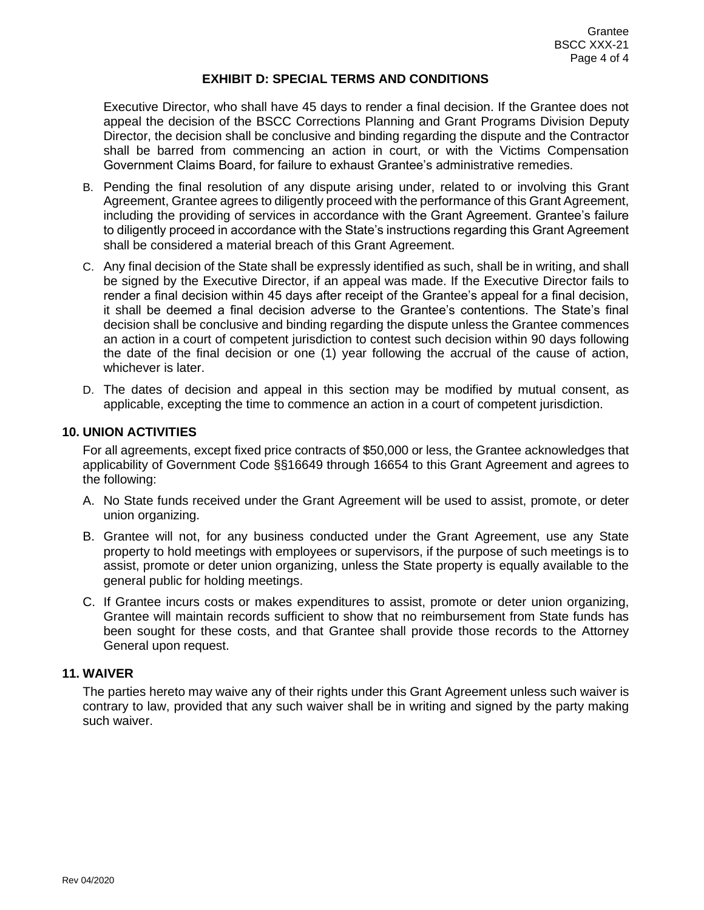Executive Director, who shall have 45 days to render a final decision. If the Grantee does not appeal the decision of the BSCC Corrections Planning and Grant Programs Division Deputy Director, the decision shall be conclusive and binding regarding the dispute and the Contractor shall be barred from commencing an action in court, or with the Victims Compensation Government Claims Board, for failure to exhaust Grantee's administrative remedies.

- B. Pending the final resolution of any dispute arising under, related to or involving this Grant Agreement, Grantee agrees to diligently proceed with the performance of this Grant Agreement, including the providing of services in accordance with the Grant Agreement. Grantee's failure to diligently proceed in accordance with the State's instructions regarding this Grant Agreement shall be considered a material breach of this Grant Agreement.
- C. Any final decision of the State shall be expressly identified as such, shall be in writing, and shall be signed by the Executive Director, if an appeal was made. If the Executive Director fails to render a final decision within 45 days after receipt of the Grantee's appeal for a final decision, it shall be deemed a final decision adverse to the Grantee's contentions. The State's final decision shall be conclusive and binding regarding the dispute unless the Grantee commences an action in a court of competent jurisdiction to contest such decision within 90 days following the date of the final decision or one (1) year following the accrual of the cause of action, whichever is later.
- D. The dates of decision and appeal in this section may be modified by mutual consent, as applicable, excepting the time to commence an action in a court of competent jurisdiction.

#### **10. UNION ACTIVITIES**

For all agreements, except fixed price contracts of \$50,000 or less, the Grantee acknowledges that applicability of Government Code §§16649 through 16654 to this Grant Agreement and agrees to the following:

- A. No State funds received under the Grant Agreement will be used to assist, promote, or deter union organizing.
- B. Grantee will not, for any business conducted under the Grant Agreement, use any State property to hold meetings with employees or supervisors, if the purpose of such meetings is to assist, promote or deter union organizing, unless the State property is equally available to the general public for holding meetings.
- C. If Grantee incurs costs or makes expenditures to assist, promote or deter union organizing, Grantee will maintain records sufficient to show that no reimbursement from State funds has been sought for these costs, and that Grantee shall provide those records to the Attorney General upon request.

#### **11. WAIVER**

The parties hereto may waive any of their rights under this Grant Agreement unless such waiver is contrary to law, provided that any such waiver shall be in writing and signed by the party making such waiver.